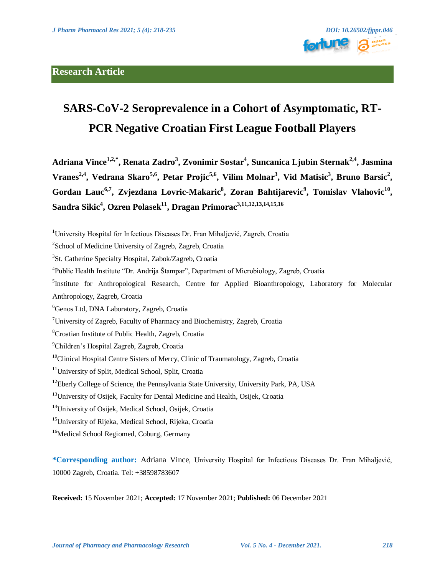

# **SARS-CoV-2 Seroprevalence in a Cohort of Asymptomatic, RT-PCR Negative Croatian First League Football Players**

**Adriana Vince1,2,\* , Renata Zadro<sup>3</sup> , Zvonimir Sostar<sup>4</sup> , Suncanica Ljubin Sternak2,4, Jasmina Vranes 2,4, Vedrana Skaro5,6, Petar Projic 5,6, Vilim Molnar<sup>3</sup> , Vid Matisic 3 , Bruno Barsic 2 ,**  Gordan Lauc<sup>6,7</sup>, Zvjezdana Lovric-Makaric<sup>8</sup>, Zoran Bahtijarevic<sup>9</sup>, Tomislav Vlahovic<sup>10</sup>, **Sandra Sikic 4 , Ozren Polasek<sup>11</sup>, Dragan Primorac3,11,12,13,14,15,16**

<sup>5</sup>Institute for Anthropological Research, Centre for Applied Bioanthropology, Laboratory for Molecular Anthropology, Zagreb, Croatia

<sup>12</sup>Eberly College of Science, the Pennsylvania State University, University Park, PA, USA

<sup>16</sup>Medical School Regiomed, Coburg, Germany

**\*Corresponding author:** Adriana Vince, University Hospital for Infectious Diseases Dr. Fran Mihaljević, 10000 Zagreb, Croatia. Tel: +38598783607

**Received:** 15 November 2021; **Accepted:** 17 November 2021; **Published:** 06 December 2021

<sup>&</sup>lt;sup>1</sup>University Hospital for Infectious Diseases Dr. Fran Mihaljević, Zagreb, Croatia

<sup>&</sup>lt;sup>2</sup>School of Medicine University of Zagreb, Zagreb, Croatia

<sup>&</sup>lt;sup>3</sup>St. Catherine Specialty Hospital, Zabok/Zagreb, Croatia

<sup>&</sup>lt;sup>4</sup>Public Health Institute "Dr. Andrija Štampar", Department of Microbiology, Zagreb, Croatia

<sup>&</sup>lt;sup>6</sup>Genos Ltd, DNA Laboratory, Zagreb, Croatia

<sup>&</sup>lt;sup>7</sup>University of Zagreb, Faculty of Pharmacy and Biochemistry, Zagreb, Croatia

<sup>8</sup>Croatian Institute of Public Health, Zagreb, Croatia

<sup>&</sup>lt;sup>9</sup>Children's Hospital Zagreb, Zagreb, Croatia

<sup>&</sup>lt;sup>10</sup>Clinical Hospital Centre Sisters of Mercy, Clinic of Traumatology, Zagreb, Croatia

<sup>&</sup>lt;sup>11</sup>University of Split, Medical School, Split, Croatia

<sup>&</sup>lt;sup>13</sup>University of Osijek, Faculty for Dental Medicine and Health, Osijek, Croatia

<sup>&</sup>lt;sup>14</sup>University of Osijek, Medical School, Osijek, Croatia

<sup>&</sup>lt;sup>15</sup>University of Rijeka, Medical School, Rijeka, Croatia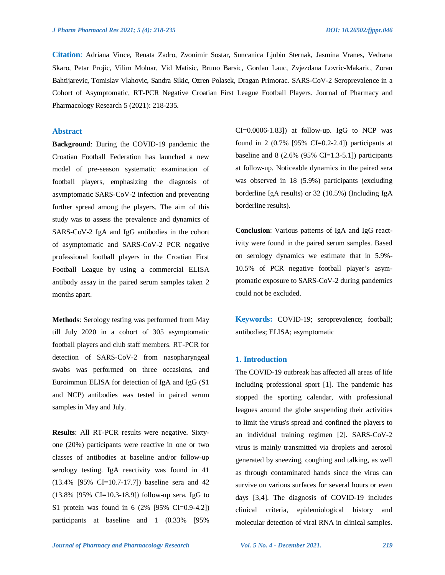**Citation**: Adriana Vince, Renata Zadro, Zvonimir Sostar, Suncanica Ljubin Sternak, Jasmina Vranes, Vedrana Skaro, Petar Projic, Vilim Molnar, Vid Matisic, Bruno Barsic, Gordan Lauc, Zvjezdana Lovric-Makaric, Zoran Bahtijarevic, Tomislav Vlahovic, Sandra Sikic, Ozren Polasek, Dragan Primorac. SARS-CoV-2 Seroprevalence in a Cohort of Asymptomatic, RT-PCR Negative Croatian First League Football Players. Journal of Pharmacy and Pharmacology Research 5 (2021): 218-235.

## **Abstract**

**Background**: During the COVID-19 pandemic the Croatian Football Federation has launched a new model of pre-season systematic examination of football players, emphasizing the diagnosis of asymptomatic SARS-CoV-2 infection and preventing further spread among the players. The aim of this study was to assess the prevalence and dynamics of SARS-CoV-2 IgA and IgG antibodies in the cohort of asymptomatic and SARS-CoV-2 PCR negative professional football players in the Croatian First Football League by using a commercial ELISA antibody assay in the paired serum samples taken 2 months apart.

**Methods**: Serology testing was performed from May till July 2020 in a cohort of 305 asymptomatic football players and club staff members. RT-PCR for detection of SARS-CoV-2 from nasopharyngeal swabs was performed on three occasions, and Euroimmun ELISA for detection of IgA and IgG (S1 and NCP) antibodies was tested in paired serum samples in May and July.

**Results**: All RT-PCR results were negative. Sixtyone (20%) participants were reactive in one or two classes of antibodies at baseline and/or follow-up serology testing. IgA reactivity was found in 41 (13.4% [95% CI=10.7-17.7]) baseline sera and 42 (13.8% [95% CI=10.3-18.9]) follow-up sera. IgG to S1 protein was found in 6 (2% [95% CI=0.9-4.2]) participants at baseline and 1 (0.33% [95%

 $CI = 0.0006 - 1.83$ ]) at follow-up. IgG to NCP was found in 2  $(0.7\%$  [95% CI=0.2-2.4]) participants at baseline and  $8$  (2.6% (95% CI=1.3-5.1]) participants at follow-up. Noticeable dynamics in the paired sera was observed in 18 (5.9%) participants (excluding borderline IgA results) or 32 (10.5%) (Including IgA borderline results).

**Conclusion**: Various patterns of IgA and IgG reactivity were found in the paired serum samples. Based on serology dynamics we estimate that in 5.9%- 10.5% of PCR negative football player's asymptomatic exposure to SARS-CoV-2 during pandemics could not be excluded.

**Keywords:** COVID-19; seroprevalence; football; antibodies; ELISA; asymptomatic

## **1. Introduction**

The COVID-19 outbreak has affected all areas of life including professional sport [1]. The pandemic has stopped the sporting calendar, with professional leagues around the globe suspending their activities to limit the virus's spread and confined the players to an individual training regimen [2]. SARS-CoV-2 virus is mainly transmitted via droplets and aerosol generated by sneezing, coughing and talking, as well as through contaminated hands since the virus can survive on various surfaces for several hours or even days [3,4]. The diagnosis of COVID-19 includes clinical criteria, epidemiological history and molecular detection of viral RNA in clinical samples.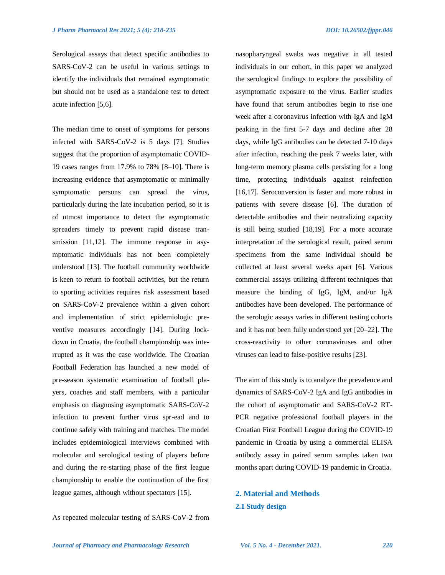Serological assays that detect specific antibodies to SARS-CoV-2 can be useful in various settings to identify the individuals that remained asymptomatic but should not be used as a standalone test to detect acute infection [5,6].

The median time to onset of symptoms for persons infected with SARS-CoV-2 is 5 days [7]. Studies suggest that the proportion of asymptomatic COVID-19 cases ranges from 17.9% to 78% [8–10]. There is increasing evidence that asymptomatic or minimally symptomatic persons can spread the virus, particularly during the late incubation period, so it is of utmost importance to detect the asymptomatic spreaders timely to prevent rapid disease transmission [11,12]. The immune response in asymptomatic individuals has not been completely understood [13]. The football community worldwide is keen to return to football activities, but the return to sporting activities requires risk assessment based on SARS-CoV-2 prevalence within a given cohort and implementation of strict epidemiologic preventive measures accordingly [14]. During lockdown in Croatia, the football championship was interrupted as it was the case worldwide. The Croatian Football Federation has launched a new model of pre-season systematic examination of football players, coaches and staff members, with a particular emphasis on diagnosing asymptomatic SARS-CoV-2 infection to prevent further virus spr-ead and to continue safely with training and matches. The model includes epidemiological interviews combined with molecular and serological testing of players before and during the re-starting phase of the first league championship to enable the continuation of the first league games, although without spectators [15].

As repeated molecular testing of SARS-CoV-2 from

nasopharyngeal swabs was negative in all tested individuals in our cohort, in this paper we analyzed the serological findings to explore the possibility of asymptomatic exposure to the virus. Earlier studies have found that serum antibodies begin to rise one week after a coronavirus infection with IgA and IgM peaking in the first 5-7 days and decline after 28 days, while IgG antibodies can be detected 7-10 days after infection, reaching the peak 7 weeks later, with long-term memory plasma cells persisting for a long time, protecting individuals against reinfection [16,17]. Seroconversion is faster and more robust in patients with severe disease [6]. The duration of detectable antibodies and their neutralizing capacity is still being studied [18,19]. For a more accurate interpretation of the serological result, paired serum specimens from the same individual should be collected at least several weeks apart [6]. Various commercial assays utilizing different techniques that measure the binding of IgG, IgM, and/or IgA antibodies have been developed. The performance of the serologic assays varies in different testing cohorts and it has not been fully understood yet [20–22]. The cross-reactivity to other coronaviruses and other viruses can lead to false-positive results [23].

The aim of this study is to analyze the prevalence and dynamics of SARS-CoV-2 IgA and IgG antibodies in the cohort of asymptomatic and SARS-CoV-2 RT-PCR negative professional football players in the Croatian First Football League during the COVID-19 pandemic in Croatia by using a commercial ELISA antibody assay in paired serum samples taken two months apart during COVID-19 pandemic in Croatia.

## **2. Material and Methods 2.1 Study design**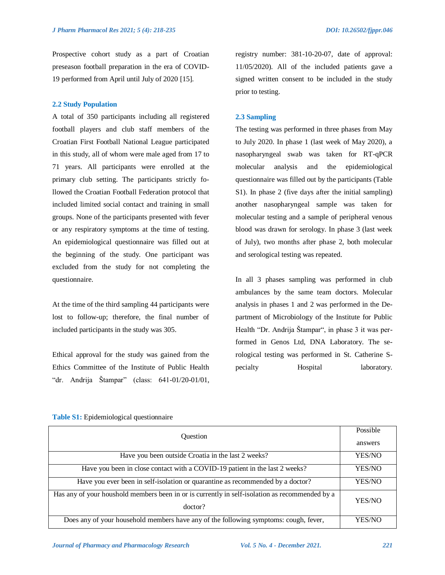Prospective cohort study as a part of Croatian preseason football preparation in the era of COVID-19 performed from April until July of 2020 [15].

## **2.2 Study Population**

A total of 350 participants including all registered football players and club staff members of the Croatian First Football National League participated in this study, all of whom were male aged from 17 to 71 years. All participants were enrolled at the primary club setting. The participants strictly followed the Croatian Football Federation protocol that included limited social contact and training in small groups. None of the participants presented with fever or any respiratory symptoms at the time of testing. An epidemiological questionnaire was filled out at the beginning of the study. One participant was excluded from the study for not completing the questionnaire.

At the time of the third sampling 44 participants were lost to follow-up; therefore, the final number of included participants in the study was 305.

Ethical approval for the study was gained from the Ethics Committee of the Institute of Public Health "dr. Andrija Štampar" (class: 641-01/20-01/01, registry number: 381-10-20-07, date of approval: 11/05/2020). All of the included patients gave a signed written consent to be included in the study prior to testing.

#### **2.3 Sampling**

The testing was performed in three phases from May to July 2020. In phase 1 (last week of May 2020), a nasopharyngeal swab was taken for RT-qPCR molecular analysis and the epidemiological questionnaire was filled out by the participants (Table S1). In phase 2 (five days after the initial sampling) another nasopharyngeal sample was taken for molecular testing and a sample of peripheral venous blood was drawn for serology. In phase 3 (last week of July), two months after phase 2, both molecular and serological testing was repeated.

In all 3 phases sampling was performed in club ambulances by the same team doctors. Molecular analysis in phases 1 and 2 was performed in the Department of Microbiology of the Institute for Public Health "Dr. Andrija Štampar", in phase 3 it was performed in Genos Ltd, DNA Laboratory. The serological testing was performed in St. Catherine Specialty **Hospital** laboratory.

| <b>Ouestion</b>                                                                                |               |                                                    |
|------------------------------------------------------------------------------------------------|---------------|----------------------------------------------------|
|                                                                                                |               | Have you been outside Croatia in the last 2 weeks? |
| Have you been in close contact with a COVID-19 patient in the last 2 weeks?                    | YES/NO        |                                                    |
| Have you ever been in self-isolation or quarantine as recommended by a doctor?                 | YES/NO        |                                                    |
| Has any of your houshold members been in or is currently in self-isolation as recommended by a |               |                                                    |
| doctor?                                                                                        |               |                                                    |
| Does any of your household members have any of the following symptoms: cough, fever,           | <b>YES/NO</b> |                                                    |

**Table S1:** Epidemiological questionnaire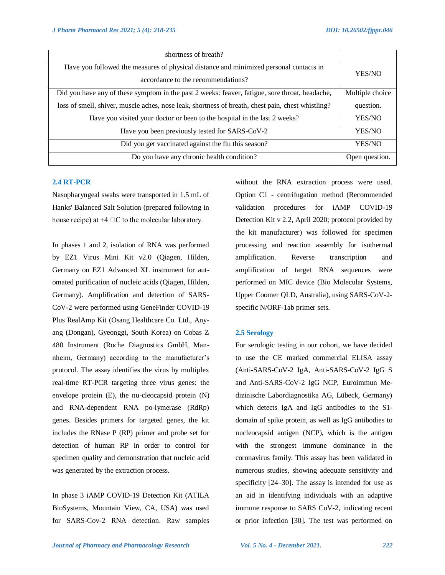| shortness of breath?                                                                                                         |                 |
|------------------------------------------------------------------------------------------------------------------------------|-----------------|
| Have you followed the measures of physical distance and minimized personal contacts in<br>accordance to the recommendations? | YES/NO          |
| Did you have any of these symptom in the past 2 weeks: feaver, fatigue, sore throat, headache,                               | Multiple choice |
| loss of smell, shiver, muscle aches, nose leak, shortness of breath, chest pain, chest whistling?                            | question.       |
| Have you visited your doctor or been to the hospital in the last 2 weeks?                                                    | YES/NO          |
| Have you been previously tested for SARS-CoV-2                                                                               | YES/NO          |
| Did you get vaccinated against the flu this season?                                                                          | YES/NO          |
| Do you have any chronic health condition?                                                                                    | Open question.  |

#### **2.4 RT-PCR**

Nasopharyngeal swabs were transported in 1.5 mL of Hanks' Balanced Salt Solution (prepared following in house recipe) at  $+4 \square C$  to the molecular laboratory.

In phases 1 and 2, isolation of RNA was performed by EZ1 Virus Mini Kit v2.0 (Qiagen, Hilden, Germany on EZ1 Advanced XL instrument for automated purification of nucleic acids (Qiagen, Hilden, Germany). Amplification and detection of SARS-CoV-2 were performed using GeneFinder COVID-19 Plus RealAmp Kit (Osang Healthcare Co. Ltd., Anyang (Dongan), Gyeonggi, South Korea) on Cobas Z 480 Instrument (Roche Diagnostics GmbH, Mannheim, Germany) according to the manufacturer's protocol. The assay identifies the virus by multiplex real-time RT-PCR targeting three virus genes: the envelope protein (E), the nu-cleocapsid protein (N) and RNA-dependent RNA po-lymerase (RdRp) genes. Besides primers for targeted genes, the kit includes the RNase P (RP) primer and probe set for detection of human RP in order to control for specimen quality and demonstration that nucleic acid was generated by the extraction process.

In phase 3 iAMP COVID-19 Detection Kit (ATILA BioSystems, Mountain View, CA, USA) was used for SARS-Cov-2 RNA detection. Raw samples without the RNA extraction process were used. Option C1 - centrifugation method (Recommended validation procedures for iAMP COVID-19 Detection Kit v 2.2, April 2020; protocol provided by the kit manufacturer) was followed for specimen processing and reaction assembly for isothermal amplification. Reverse transcription and amplification of target RNA sequences were performed on MIC device (Bio Molecular Systems, Upper Coomer QLD, Australia), using SARS-CoV-2 specific N/ORF-1ab primer sets.

## **2.5 Serology**

For serologic testing in our cohort, we have decided to use the CE marked commercial ELISA assay (Anti-SARS-CoV-2 IgA, Anti-SARS-CoV-2 IgG S and Anti-SARS-CoV-2 IgG NCP, Euroimmun Medizinische Labordiagnostika AG, Lübeck, Germany) which detects IgA and IgG antibodies to the S1 domain of spike protein, as well as IgG antibodies to nucleocapsid antigen (NCP), which is the antigen with the strongest immune dominance in the coronavirus family. This assay has been validated in numerous studies, showing adequate sensitivity and specificity [24–30]. The assay is intended for use as an aid in identifying individuals with an adaptive immune response to SARS CoV-2, indicating recent or prior infection [30]. The test was performed on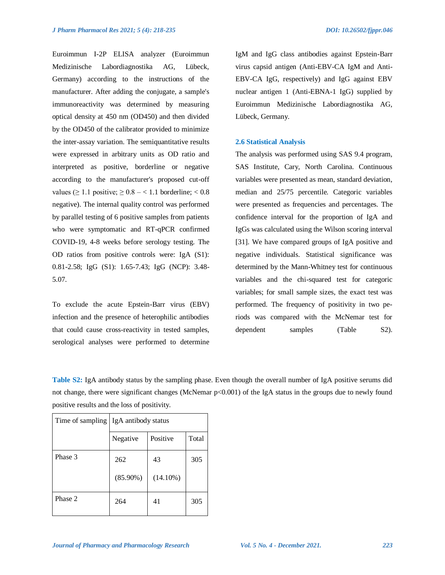Euroimmun I-2P ELISA analyzer (Euroimmun Medizinische Labordiagnostika AG, Lübeck, Germany) according to the instructions of the manufacturer. After adding the conjugate, a sample's immunoreactivity was determined by measuring optical density at 450 nm (OD450) and then divided by the OD450 of the calibrator provided to minimize the inter-assay variation. The semiquantitative results were expressed in arbitrary units as OD ratio and interpreted as positive, borderline or negative according to the manufacturer's proposed cut-off values ( $\geq 1.1$  positive;  $\geq 0.8 - < 1.1$  borderline;  $< 0.8$ negative). The internal quality control was performed by parallel testing of 6 positive samples from patients who were symptomatic and RT-qPCR confirmed COVID-19, 4-8 weeks before serology testing. The OD ratios from positive controls were: IgA (S1): 0.81-2.58; IgG (S1): 1.65-7.43; IgG (NCP): 3.48- 5.07.

To exclude the acute Epstein-Barr virus (EBV) infection and the presence of heterophilic antibodies that could cause cross-reactivity in tested samples, serological analyses were performed to determine IgM and IgG class antibodies against Epstein-Barr virus capsid antigen (Anti-EBV-CA IgM and Anti-EBV-CA IgG, respectively) and IgG against EBV nuclear antigen 1 (Anti-EBNA-1 IgG) supplied by Euroimmun Medizinische Labordiagnostika AG, Lübeck, Germany.

#### **2.6 Statistical Analysis**

The analysis was performed using SAS 9.4 program, SAS Institute, Cary, North Carolina. Continuous variables were presented as mean, standard deviation, median and 25/75 percentile. Categoric variables were presented as frequencies and percentages. The confidence interval for the proportion of IgA and IgGs was calculated using the Wilson scoring interval [31]. We have compared groups of IgA positive and negative individuals. Statistical significance was determined by the Mann-Whitney test for continuous variables and the chi-squared test for categoric variables; for small sample sizes, the exact test was performed. The frequency of positivity in two periods was compared with the McNemar test for dependent samples (Table S2).

**Table S2:** IgA antibody status by the sampling phase. Even though the overall number of IgA positive serums did not change, there were significant changes (McNemar p<0.001) of the IgA status in the groups due to newly found positive results and the loss of positivity.

| Time of sampling | IgA antibody status |                   |       |
|------------------|---------------------|-------------------|-------|
|                  | Negative            | Positive          | Total |
| Phase 3          | 262<br>$(85.90\%)$  | 43<br>$(14.10\%)$ | 305   |
| Phase 2          | 264                 | 41                | 305   |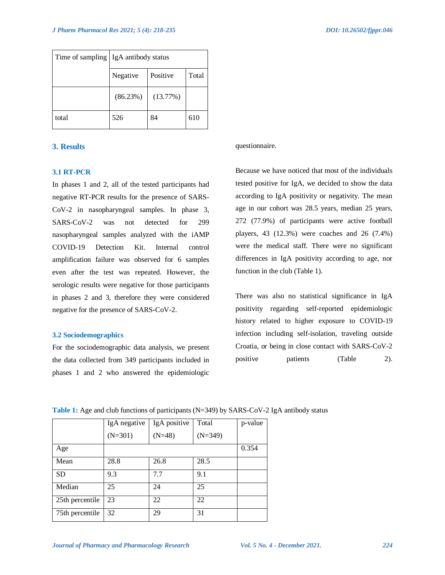|       | Time of sampling   IgA antibody status |          |     |
|-------|----------------------------------------|----------|-----|
|       | Positive<br>Total<br>Negative          |          |     |
|       | (86.23%)                               | (13.77%) |     |
| total | 526                                    | 84       | 610 |

## **3. Results**

## **3.1 RT-PCR**

In phases 1 and 2, all of the tested participants had negative RT-PCR results for the presence of SARS-CoV-2 in nasopharyngeal samples. In phase 3, SARS-CoV-2 was not detected for 299 nasopharyngeal samples analyzed with the iAMP COVID-19 Detection Kit. Internal control amplification failure was observed for 6 samples even after the test was repeated. However, the serologic results were negative for those participants in phases 2 and 3, therefore they were considered negative for the presence of SARS-CoV-2.

#### **3.2 Sociodemographics**

For the sociodemographic data analysis, we present the data collected from 349 participants included in phases 1 and 2 who answered the epidemiologic questionnaire.

Because we have noticed that most of the individuals tested positive for IgA, we decided to show the data according to IgA positivity or negativity. The mean age in our cohort was 28.5 years, median 25 years, 272 (77.9%) of participants were active football players, 43 (12.3%) were coaches and 26 (7.4%) were the medical staff. There were no significant differences in IgA positivity according to age, nor function in the club (Table 1).

There was also no statistical significance in IgA positivity regarding self-reported epidemiologic history related to higher exposure to COVID-19 infection including self-isolation, traveling outside Croatia, or being in close contact with SARS-CoV-2 positive patients (Table 2).

|                 | IgA negative | IgA positive | Total     | p-value |
|-----------------|--------------|--------------|-----------|---------|
|                 | $(N=301)$    | $(N=48)$     | $(N=349)$ |         |
| Age             |              |              |           | 0.354   |
| Mean            | 28.8         | 26.8         | 28.5      |         |
| <b>SD</b>       | 9.3          | 7.7          | 9.1       |         |
| Median          | 25           | 24           | 25        |         |
| 25th percentile | 23           | 22           | 22        |         |
| 75th percentile | 32           | 29           | 31        |         |

#### **Table 1:** Age and club functions of participants (N=349) by SARS-CoV-2 IgA antibody status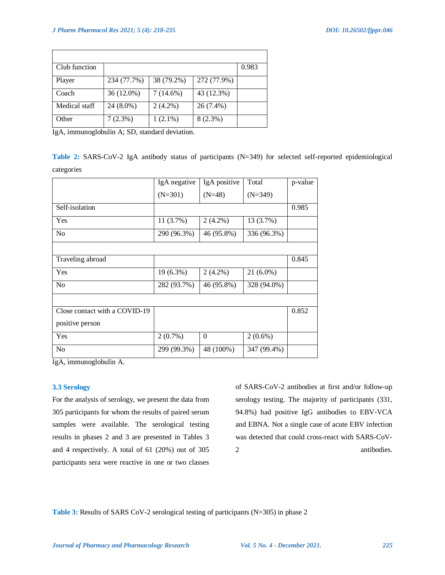| Club function |             |             |             | 0.983 |
|---------------|-------------|-------------|-------------|-------|
| Player        | 234 (77.7%) | 38 (79.2%)  | 272 (77.9%) |       |
| Coach         | 36 (12.0%)  | $7(14.6\%)$ | 43 (12.3%)  |       |
| Medical staff | 24 (8.0%)   | $2(4.2\%)$  | 26 (7.4%)   |       |
| Other         | 7(2.3%)     | $1(2.1\%)$  | $8(2.3\%)$  |       |

IgA, immunoglobulin A; SD, standard deviation.

**Table 2:** SARS-CoV-2 IgA antibody status of participants (N=349) for selected self-reported epidemiological categories

|                               | IgA negative | IgA positive | Total       | p-value |
|-------------------------------|--------------|--------------|-------------|---------|
|                               | $(N=301)$    | $(N=48)$     | $(N=349)$   |         |
| Self-isolation                |              |              |             | 0.985   |
| Yes                           | 11(3.7%)     | $2(4.2\%)$   | 13 (3.7%)   |         |
| N <sub>o</sub>                | 290 (96.3%)  | 46 (95.8%)   | 336 (96.3%) |         |
|                               |              |              |             |         |
| Traveling abroad              |              |              |             | 0.845   |
| Yes                           | 19 (6.3%)    | $2(4.2\%)$   | $21(6.0\%)$ |         |
| N <sub>0</sub>                | 282 (93.7%)  | 46 (95.8%)   | 328 (94.0%) |         |
|                               |              |              |             |         |
| Close contact with a COVID-19 |              |              |             | 0.852   |
| positive person               |              |              |             |         |
| Yes                           | $2(0.7\%)$   | $\mathbf{0}$ | $2(0.6\%)$  |         |
| N <sub>0</sub>                | 299 (99.3%)  | 48 (100%)    | 347 (99.4%) |         |

IgA, immunoglobulin A.

## **3.3 Serology**

For the analysis of serology, we present the data from 305 participants for whom the results of paired serum samples were available. The serological testing results in phases 2 and 3 are presented in Tables 3 and 4 respectively. A total of 61 (20%) out of 305 participants sera were reactive in one or two classes

of SARS-CoV-2 antibodies at first and/or follow-up serology testing. The majority of participants (331, 94.8%) had positive IgG antibodies to EBV-VCA and EBNA. Not a single case of acute EBV infection was detected that could cross-react with SARS-CoV-2 antibodies.

**Table 3:** Results of SARS CoV-2 serological testing of participants (N=305) in phase 2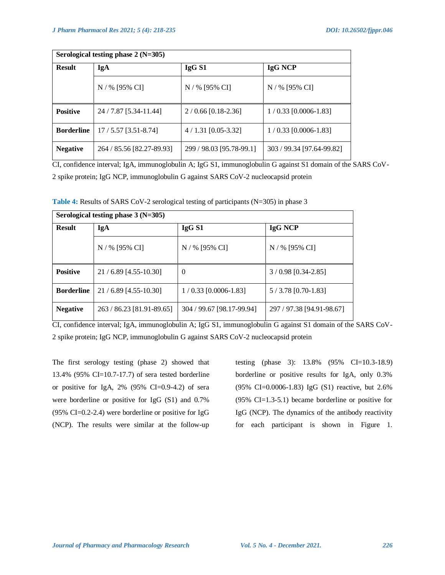| Serological testing phase $2(N=305)$ |                           |                          |                           |  |  |
|--------------------------------------|---------------------------|--------------------------|---------------------------|--|--|
| <b>Result</b>                        | IgA                       | IgG S1                   | <b>IgG NCP</b>            |  |  |
|                                      | N / % [95% CI]            | N / % [95% CI]           | $N / %$ [95% CI]          |  |  |
| <b>Positive</b>                      | 24 / 7.87 [5.34-11.44]    | $2/0.66$ [0.18-2.36]     | $1/0.33$ [0.0006-1.83]    |  |  |
| <b>Borderline</b>                    | $17/5.57$ [3.51-8.74]     | $4/1.31$ [0.05-3.32]     | $1/0.33$ [0.0006-1.83]    |  |  |
| <b>Negative</b>                      | 264 / 85.56 [82.27-89.93] | 299 / 98.03 [95.78-99.1] | 303 / 99.34 [97.64-99.82] |  |  |

CI, confidence interval; IgA, immunoglobulin A; IgG S1, immunoglobulin G against S1 domain of the SARS CoV-2 spike protein; IgG NCP, immunoglobulin G against SARS CoV-2 nucleocapsid protein

**Table 4:** Results of SARS CoV-2 serological testing of participants (N=305) in phase 3

| Serological testing phase $3(N=305)$ |                           |                           |                           |  |  |
|--------------------------------------|---------------------------|---------------------------|---------------------------|--|--|
| <b>Result</b>                        | IgA                       | IgG <sub>S1</sub>         | IgG NCP                   |  |  |
|                                      | N / % [95% CI]            | N / % [95% CI]            | $N / %$ [95% CI]          |  |  |
| <b>Positive</b>                      | $21 / 6.89$ [4.55-10.30]  | $\overline{0}$            | $3/0.98$ [0.34-2.85]      |  |  |
| <b>Borderline</b>                    | 21/6.89 [4.55-10.30]      | $1/0.33$ [0.0006-1.83]    | $5/3.78$ [0.70-1.83]      |  |  |
| <b>Negative</b>                      | 263 / 86.23 [81.91-89.65] | 304 / 99.67 [98.17-99.94] | 297 / 97.38 [94.91-98.67] |  |  |

CI, confidence interval; IgA, immunoglobulin A; IgG S1, immunoglobulin G against S1 domain of the SARS CoV-2 spike protein; IgG NCP, immunoglobulin G against SARS CoV-2 nucleocapsid protein

The first serology testing (phase 2) showed that 13.4% (95% CI=10.7-17.7) of sera tested borderline or positive for IgA, 2% (95% CI=0.9-4.2) of sera were borderline or positive for IgG (S1) and 0.7% (95% CI=0.2-2.4) were borderline or positive for IgG (NCP). The results were similar at the follow-up

testing (phase 3): 13.8% (95% CI=10.3-18.9) borderline or positive results for IgA, only 0.3% (95% CI=0.0006-1.83) IgG (S1) reactive, but 2.6% (95% CI=1.3-5.1) became borderline or positive for IgG (NCP). The dynamics of the antibody reactivity for each participant is shown in Figure 1.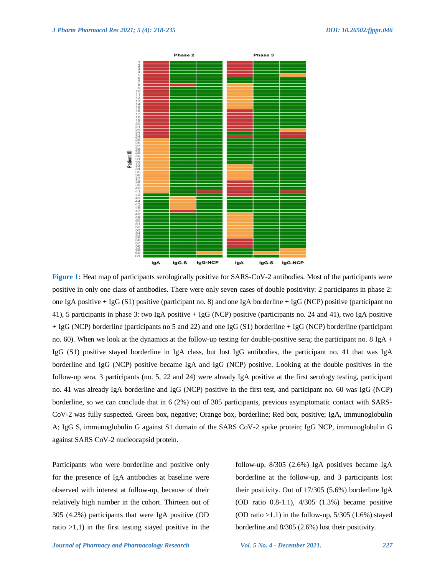

**Figure 1:** Heat map of participants serologically positive for SARS-CoV-2 antibodies. Most of the participants were positive in only one class of antibodies. There were only seven cases of double positivity: 2 participants in phase 2: one IgA positive + IgG (S1) positive (participant no. 8) and one IgA borderline + IgG (NCP) positive (participant no 41), 5 participants in phase 3: two IgA positive + IgG (NCP) positive (participants no. 24 and 41), two IgA positive + IgG (NCP) borderline (participants no 5 and 22) and one IgG (S1) borderline + IgG (NCP) borderline (participant no. 60). When we look at the dynamics at the follow-up testing for double-positive sera; the participant no. 8 IgA + IgG (S1) positive stayed borderline in IgA class, but lost IgG antibodies, the participant no. 41 that was IgA borderline and IgG (NCP) positive became IgA and IgG (NCP) positive. Looking at the double positives in the follow-up sera, 3 participants (no. 5, 22 and 24) were already IgA positive at the first serology testing, participant no. 41 was already IgA borderline and IgG (NCP) positive in the first test, and participant no. 60 was IgG (NCP) borderline, so we can conclude that in 6 (2%) out of 305 participants, previous asymptomatic contact with SARS-CoV-2 was fully suspected. Green box, negative; Orange box, borderline; Red box, positive; IgA, immunoglobulin A; IgG S, immunoglobulin G against S1 domain of the SARS CoV-2 spike protein; IgG NCP, immunoglobulin G against SARS CoV-2 nucleocapsid protein.

Participants who were borderline and positive only for the presence of IgA antibodies at baseline were observed with interest at follow-up, because of their relatively high number in the cohort. Thirteen out of 305 (4.2%) participants that were IgA positive (OD ratio  $>1,1$ ) in the first testing stayed positive in the follow-up, 8/305 (2.6%) IgA positives became IgA borderline at the follow-up, and 3 participants lost their positivity. Out of 17/305 (5.6%) borderline IgA (OD ratio 0.8-1.1), 4/305 (1.3%) became positive (OD ratio  $>1.1$ ) in the follow-up, 5/305 (1.6%) stayed borderline and 8/305 (2.6%) lost their positivity.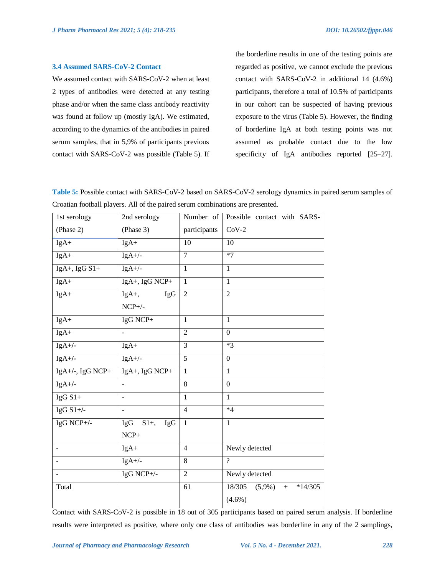#### **3.4 Assumed SARS-CoV-2 Contact**

We assumed contact with SARS-CoV-2 when at least 2 types of antibodies were detected at any testing phase and/or when the same class antibody reactivity was found at follow up (mostly IgA). We estimated, according to the dynamics of the antibodies in paired serum samples, that in 5,9% of participants previous contact with SARS-CoV-2 was possible (Table 5). If the borderline results in one of the testing points are regarded as positive, we cannot exclude the previous contact with SARS-CoV-2 in additional 14 (4.6%) participants, therefore a total of 10.5% of participants in our cohort can be suspected of having previous exposure to the virus (Table 5). However, the finding of borderline IgA at both testing points was not assumed as probable contact due to the low specificity of IgA antibodies reported [25–27].

**Table 5:** Possible contact with SARS-CoV-2 based on SARS-CoV-2 serology dynamics in paired serum samples of Croatian football players. All of the paired serum combinations are presented.

| 1st serology             | 2nd serology   | Number of       | Possible contact with SARS-             |
|--------------------------|----------------|-----------------|-----------------------------------------|
| (Phase 2)                | (Phase 3)      | participants    | $CoV-2$                                 |
| $IgA+$                   | $IgA+$         | 10              | 10                                      |
| IgA+                     | $IgA+/-$       | 7               | $*7$                                    |
| $IgA+$ , $IgGS1+$        | $IgA+/-$       | $\mathbf{1}$    | $\mathbf{1}$                            |
| $IgA+$                   | IgA+, IgG NCP+ | $\overline{1}$  | $\mathbf{1}$                            |
| IgA+                     | $IgA+,$<br>IgG | $\overline{2}$  | $\overline{2}$                          |
|                          | $NCP+/-$       |                 |                                         |
| $IgA+$                   | IgG NCP+       | $\mathbf{1}$    | $\mathbf{1}$                            |
| $IgA+$                   |                | $\overline{2}$  | $\Omega$                                |
| $IgA+/-$                 | $IgA+$         | 3               | $*3$                                    |
| $IgA+/-$                 | $IgA+/-$       | $\overline{5}$  | $\Omega$                                |
| IgA+/-, IgG NCP+         | IgA+, IgG NCP+ | $\mathbf{1}$    | $\mathbf{1}$                            |
| $IgA+/-$                 | $\frac{1}{2}$  | $\overline{8}$  | $\overline{0}$                          |
| $IgG S1+$                |                | $\mathbf{1}$    | $\mathbf{1}$                            |
| IgG $S1+/-$              | $\blacksquare$ | $\overline{4}$  | $*4$                                    |
| IgG NCP+/-               | IgG $S1+, IgG$ | $\mathbf{1}$    | $\mathbf{1}$                            |
|                          | $NCP+$         |                 |                                         |
| $\overline{\phantom{a}}$ | $IgA+$         | $\overline{4}$  | Newly detected                          |
| $\blacksquare$           | $IgA+/-$       | 8               | $\gamma$                                |
| $\blacksquare$           | IgG NCP+/-     | $\overline{2}$  | Newly detected                          |
| Total                    |                | $\overline{61}$ | 18/305<br>$(5,9\%)$<br>$*14/305$<br>$+$ |
|                          |                |                 | $(4.6\%)$                               |

Contact with SARS-CoV-2 is possible in 18 out of 305 participants based on paired serum analysis. If borderline results were interpreted as positive, where only one class of antibodies was borderline in any of the 2 samplings,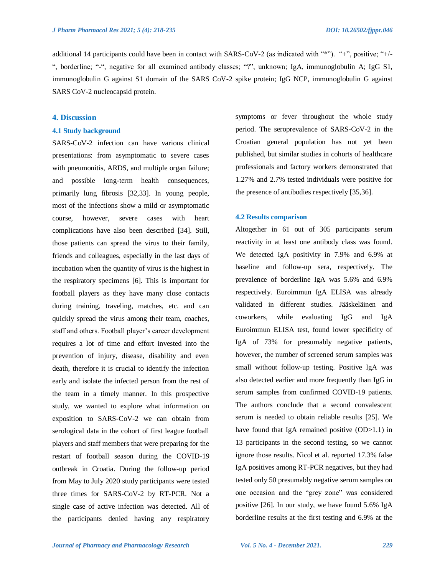additional 14 participants could have been in contact with SARS-CoV-2 (as indicated with "\*"). "+", positive; "+/-", borderline; "-", negative for all examined antibody classes; "?", unknown; IgA, immunoglobulin A; IgG S1, immunoglobulin G against S1 domain of the SARS CoV-2 spike protein; IgG NCP, immunoglobulin G against SARS CoV-2 nucleocapsid protein.

## **4. Discussion**

## **4.1 Study background**

SARS-CoV-2 infection can have various clinical presentations: from asymptomatic to severe cases with pneumonitis, ARDS, and multiple organ failure; and possible long-term health consequences, primarily lung fibrosis [32,33]. In young people, most of the infections show a mild or asymptomatic course, however, severe cases with heart complications have also been described [34]. Still, those patients can spread the virus to their family, friends and colleagues, especially in the last days of incubation when the quantity of virus is the highest in the respiratory specimens [6]. This is important for football players as they have many close contacts during training, traveling, matches, etc. and can quickly spread the virus among their team, coaches, staff and others. Football player's career development requires a lot of time and effort invested into the prevention of injury, disease, disability and even death, therefore it is crucial to identify the infection early and isolate the infected person from the rest of the team in a timely manner. In this prospective study, we wanted to explore what information on exposition to SARS-CoV-2 we can obtain from serological data in the cohort of first league football players and staff members that were preparing for the restart of football season during the COVID-19 outbreak in Croatia. During the follow-up period from May to July 2020 study participants were tested three times for SARS-CoV-2 by RT-PCR. Not a single case of active infection was detected. All of the participants denied having any respiratory symptoms or fever throughout the whole study period. The seroprevalence of SARS-CoV-2 in the Croatian general population has not yet been published, but similar studies in cohorts of healthcare professionals and factory workers demonstrated that 1.27% and 2.7% tested individuals were positive for the presence of antibodies respectively [35,36].

#### **4.2 Results comparison**

Altogether in 61 out of 305 participants serum reactivity in at least one antibody class was found. We detected IgA positivity in 7.9% and 6.9% at baseline and follow-up sera, respectively. The prevalence of borderline IgA was 5.6% and 6.9% respectively. Euroimmun IgA ELISA was already validated in different studies. Jääskeläinen and coworkers, while evaluating IgG and IgA Euroimmun ELISA test, found lower specificity of IgA of 73% for presumably negative patients, however, the number of screened serum samples was small without follow-up testing. Positive IgA was also detected earlier and more frequently than IgG in serum samples from confirmed COVID-19 patients. The authors conclude that a second convalescent serum is needed to obtain reliable results [25]. We have found that IgA remained positive (OD>1.1) in 13 participants in the second testing, so we cannot ignore those results. Nicol et al. reported 17.3% false IgA positives among RT-PCR negatives, but they had tested only 50 presumably negative serum samples on one occasion and the "grey zone" was considered positive [26]. In our study, we have found 5.6% IgA borderline results at the first testing and 6.9% at the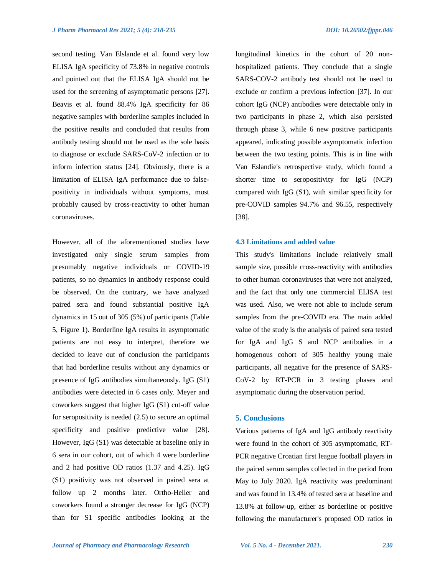second testing. Van Elslande et al. found very low ELISA IgA specificity of 73.8% in negative controls and pointed out that the ELISA IgA should not be used for the screening of asymptomatic persons [27]. Beavis et al. found 88.4% IgA specificity for 86 negative samples with borderline samples included in the positive results and concluded that results from antibody testing should not be used as the sole basis to diagnose or exclude SARS-CoV-2 infection or to inform infection status [24]. Obviously, there is a limitation of ELISA IgA performance due to falsepositivity in individuals without symptoms, most probably caused by cross-reactivity to other human coronaviruses.

However, all of the aforementioned studies have investigated only single serum samples from presumably negative individuals or COVID-19 patients, so no dynamics in antibody response could be observed. On the contrary, we have analyzed paired sera and found substantial positive IgA dynamics in 15 out of 305 (5%) of participants (Table 5, Figure 1). Borderline IgA results in asymptomatic patients are not easy to interpret, therefore we decided to leave out of conclusion the participants that had borderline results without any dynamics or presence of IgG antibodies simultaneously. IgG (S1) antibodies were detected in 6 cases only. Meyer and coworkers suggest that higher IgG (S1) cut-off value for seropositivity is needed (2.5) to secure an optimal specificity and positive predictive value [28]. However, IgG (S1) was detectable at baseline only in 6 sera in our cohort, out of which 4 were borderline and 2 had positive OD ratios (1.37 and 4.25). IgG (S1) positivity was not observed in paired sera at follow up 2 months later. Ortho-Heller and coworkers found a stronger decrease for IgG (NCP) than for S1 specific antibodies looking at the

longitudinal kinetics in the cohort of 20 nonhospitalized patients. They conclude that a single SARS-COV-2 antibody test should not be used to exclude or confirm a previous infection [37]. In our cohort IgG (NCP) antibodies were detectable only in two participants in phase 2, which also persisted through phase 3, while 6 new positive participants appeared, indicating possible asymptomatic infection between the two testing points. This is in line with Van Eslandie's retrospective study, which found a shorter time to seropositivity for IgG (NCP) compared with IgG (S1), with similar specificity for pre-COVID samples 94.7% and 96.55, respectively [38].

#### **4.3 Limitations and added value**

This study's limitations include relatively small sample size, possible cross-reactivity with antibodies to other human coronaviruses that were not analyzed, and the fact that only one commercial ELISA test was used. Also, we were not able to include serum samples from the pre-COVID era. The main added value of the study is the analysis of paired sera tested for IgA and IgG S and NCP antibodies in a homogenous cohort of 305 healthy young male participants, all negative for the presence of SARS-CoV-2 by RT-PCR in 3 testing phases and asymptomatic during the observation period.

#### **5. Conclusions**

Various patterns of IgA and IgG antibody reactivity were found in the cohort of 305 asymptomatic, RT-PCR negative Croatian first league football players in the paired serum samples collected in the period from May to July 2020. IgA reactivity was predominant and was found in 13.4% of tested sera at baseline and 13.8% at follow-up, either as borderline or positive following the manufacturer's proposed OD ratios in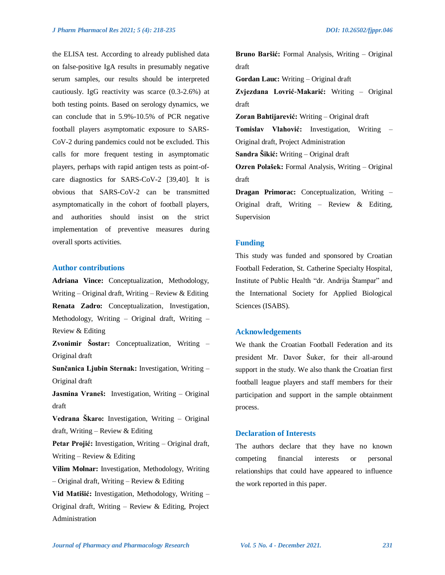the ELISA test. According to already published data on false-positive IgA results in presumably negative serum samples, our results should be interpreted cautiously. IgG reactivity was scarce (0.3-2.6%) at both testing points. Based on serology dynamics, we can conclude that in 5.9%-10.5% of PCR negative football players asymptomatic exposure to SARS-CoV-2 during pandemics could not be excluded. This calls for more frequent testing in asymptomatic players, perhaps with rapid antigen tests as point-ofcare diagnostics for SARS-CoV-2 [39,40]. It is obvious that SARS-CoV-2 can be transmitted asymptomatically in the cohort of football players, and authorities should insist on the strict implementation of preventive measures during overall sports activities.

## **Author contributions**

**Adriana Vince:** Conceptualization, Methodology, Writing – Original draft, Writing – Review  $&$  Editing **Renata Zadro:** Conceptualization, Investigation, Methodology, Writing – Original draft, Writing – Review & Editing

**Zvonimir Šostar:** Conceptualization, Writing – Original draft

**Sunčanica Ljubin Sternak:** Investigation, Writing – Original draft

**Jasmina Vraneš:** Investigation, Writing – Original draft

**Vedrana Škaro:** Investigation, Writing – Original draft, Writing – Review  $&$  Editing

Petar Projić: Investigation, Writing – Original draft, Writing – Review & Editing

**Vilim Molnar:** Investigation, Methodology, Writing – Original draft, Writing – Review & Editing

**Vid Matišić:** Investigation, Methodology, Writing – Original draft, Writing – Review & Editing, Project Administration

**Bruno Baršić:** Formal Analysis, Writing – Original draft

**Gordan Lauc:** Writing – Original draft

**Zvjezdana Lovrić-Makarić:** Writing – Original draft

**Zoran Bahtijarević:** Writing – Original draft

**Tomislav Vlahović:** Investigation, Writing – Original draft, Project Administration

**Sandra Šikić:** Writing – Original draft

**Ozren Polašek:** Formal Analysis, Writing – Original draft

**Dragan Primorac:** Conceptualization, Writing – Original draft, Writing – Review & Editing, Supervision

## **Funding**

This study was funded and sponsored by Croatian Football Federation, St. Catherine Specialty Hospital, Institute of Public Health "dr. Andrija Štampar" and the International Society for Applied Biological Sciences (ISABS).

## **Acknowledgements**

We thank the Croatian Football Federation and its president Mr. Davor Šuker, for their all-around support in the study. We also thank the Croatian first football league players and staff members for their participation and support in the sample obtainment process.

## **Declaration of Interests**

The authors declare that they have no known competing financial interests or personal relationships that could have appeared to influence the work reported in this paper.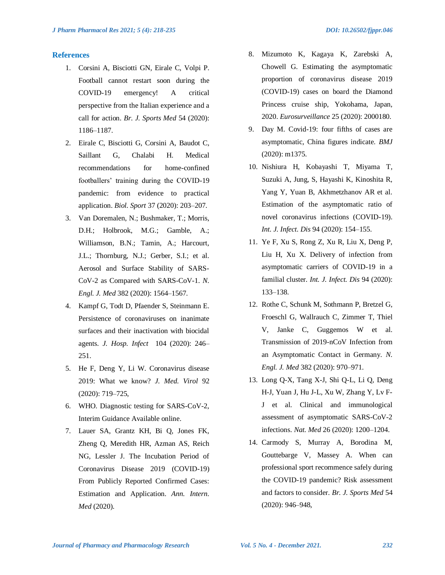## **References**

- 1. Corsini A, Bisciotti GN, Eirale C, Volpi P. Football cannot restart soon during the COVID-19 emergency! A critical perspective from the Italian experience and a call for action. *Br. J. Sports Med* 54 (2020): 1186–1187.
- 2. Eirale C, Bisciotti G, Corsini A, Baudot C, Saillant G, Chalabi H. Medical recommendations for home-confined footballers' training during the COVID-19 pandemic: from evidence to practical application. *Biol. Sport* 37 (2020): 203–207.
- 3. Van Doremalen, N.; Bushmaker, T.; Morris, D.H.; Holbrook, M.G.; Gamble, A.; Williamson, B.N.; Tamin, A.; Harcourt, J.L.; Thornburg, N.J.; Gerber, S.I.; et al. Aerosol and Surface Stability of SARS-CoV-2 as Compared with SARS-CoV-1. *N. Engl. J. Med* 382 (2020): 1564–1567.
- 4. Kampf G, Todt D, Pfaender S, Steinmann E. Persistence of coronaviruses on inanimate surfaces and their inactivation with biocidal agents. *J. Hosp. Infect* 104 (2020): 246– 251.
- 5. He F, Deng Y, Li W. Coronavirus disease 2019: What we know? *J. Med. Virol* 92 (2020): 719–725,
- 6. WHO. Diagnostic testing for SARS-CoV-2, Interim Guidance Available online.
- 7. Lauer SA, Grantz KH, Bi Q, Jones FK, Zheng Q, Meredith HR, Azman AS, Reich NG, Lessler J. The Incubation Period of Coronavirus Disease 2019 (COVID-19) From Publicly Reported Confirmed Cases: Estimation and Application. *Ann. Intern. Med* (2020).
- 8. Mizumoto K, Kagaya K, Zarebski A, Chowell G. Estimating the asymptomatic proportion of coronavirus disease 2019 (COVID-19) cases on board the Diamond Princess cruise ship, Yokohama, Japan, 2020. *Eurosurveillance* 25 (2020): 2000180.
- 9. Day M. Covid-19: four fifths of cases are asymptomatic, China figures indicate. *BMJ* (2020): m1375.
- 10. Nishiura H, Kobayashi T, Miyama T, Suzuki A, Jung, S, Hayashi K, Kinoshita R, Yang Y, Yuan B, Akhmetzhanov AR et al. Estimation of the asymptomatic ratio of novel coronavirus infections (COVID-19). *Int. J. Infect. Dis* 94 (2020): 154–155.
- 11. Ye F, Xu S, Rong Z, Xu R, Liu X, Deng P, Liu H, Xu X. Delivery of infection from asymptomatic carriers of COVID-19 in a familial cluster. *Int. J. Infect. Dis* 94 (2020): 133–138.
- 12. Rothe C, Schunk M, Sothmann P, Bretzel G, Froeschl G, Wallrauch C, Zimmer T, Thiel V, Janke C, Guggemos W et al. Transmission of 2019-nCoV Infection from an Asymptomatic Contact in Germany. *N. Engl. J. Med* 382 (2020): 970–971.
- 13. Long Q-X, Tang X-J, Shi Q-L, Li Q, Deng H-J, Yuan J, Hu J-L, Xu W, Zhang Y, Lv F-J et al. Clinical and immunological assessment of asymptomatic SARS-CoV-2 infections. *Nat. Med* 26 (2020): 1200–1204.
- 14. Carmody S, Murray A, Borodina M, Gouttebarge V, Massey A. When can professional sport recommence safely during the COVID-19 pandemic? Risk assessment and factors to consider. *Br. J. Sports Med* 54 (2020): 946–948,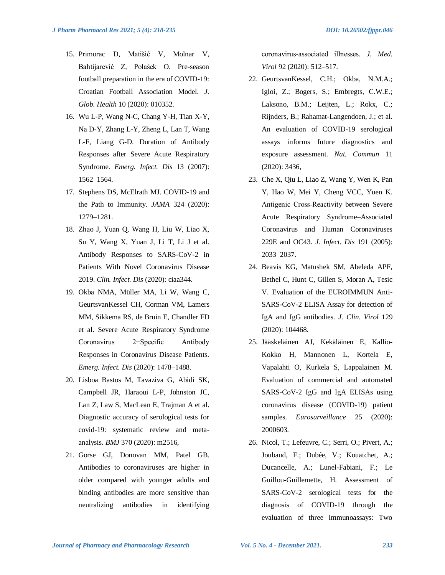- 15. Primorac D, Matišić V, Molnar V, Bahtijarević Z, Polašek O. Pre-season football preparation in the era of COVID-19: Croatian Football Association Model. *J. Glob. Health* 10 (2020): 010352.
- 16. Wu L-P, Wang N-C, Chang Y-H, Tian X-Y, Na D-Y, Zhang L-Y, Zheng L, Lan T, Wang L-F, Liang G-D. Duration of Antibody Responses after Severe Acute Respiratory Syndrome. *Emerg. Infect. Dis* 13 (2007): 1562–1564.
- 17. Stephens DS, McElrath MJ. COVID-19 and the Path to Immunity. *JAMA* 324 (2020): 1279–1281.
- 18. Zhao J, Yuan Q, Wang H, Liu W, Liao X, Su Y, Wang X, Yuan J, Li T, Li J et al. Antibody Responses to SARS-CoV-2 in Patients With Novel Coronavirus Disease 2019. *Clin. Infect. Dis* (2020): ciaa344.
- 19. Okba NMA, Müller MA, Li W, Wang C, GeurtsvanKessel CH, Corman VM, Lamers MM, Sikkema RS, de Bruin E, Chandler FD et al. Severe Acute Respiratory Syndrome Coronavirus 2−Specific Antibody Responses in Coronavirus Disease Patients. *Emerg. Infect. Dis* (2020): 1478–1488.
- 20. Lisboa Bastos M, Tavaziva G, Abidi SK, Campbell JR, Haraoui L-P, Johnston JC, Lan Z, Law S, MacLean E, Trajman A et al. Diagnostic accuracy of serological tests for covid-19: systematic review and metaanalysis. *BMJ* 370 (2020): m2516,
- 21. Gorse GJ, Donovan MM, Patel GB. Antibodies to coronaviruses are higher in older compared with younger adults and binding antibodies are more sensitive than neutralizing antibodies in identifying

coronavirus‐associated illnesses. *J. Med. Virol* 92 (2020): 512–517.

- 22. GeurtsvanKessel, C.H.; Okba, N.M.A.; Igloi, Z.; Bogers, S.; Embregts, C.W.E.; Laksono, B.M.; Leijten, L.; Rokx, C.; Rijnders, B.; Rahamat-Langendoen, J.; et al. An evaluation of COVID-19 serological assays informs future diagnostics and exposure assessment. *Nat. Commun* 11 (2020): 3436,
- 23. Che X, Qiu L, Liao Z, Wang Y, Wen K, Pan Y, Hao W, Mei Y, Cheng VCC, Yuen K. Antigenic Cross‐Reactivity between Severe Acute Respiratory Syndrome–Associated Coronavirus and Human Coronaviruses 229E and OC43. *J. Infect. Dis* 191 (2005): 2033–2037.
- 24. Beavis KG, Matushek SM, Abeleda APF, Bethel C, Hunt C, Gillen S, Moran A, Tesic V. Evaluation of the EUROIMMUN Anti-SARS-CoV-2 ELISA Assay for detection of IgA and IgG antibodies. *J. Clin. Virol* 129 (2020): 104468.
- 25. Jääskeläinen AJ, Kekäläinen E, Kallio-Kokko H, Mannonen L, Kortela E, Vapalahti O, Kurkela S, Lappalainen M. Evaluation of commercial and automated SARS-CoV-2 IgG and IgA ELISAs using coronavirus disease (COVID-19) patient samples. *Eurosurveillance* 25 (2020): 2000603.
- 26. Nicol, T.; Lefeuvre, C.; Serri, O.; Pivert, A.; Joubaud, F.; Dubée, V.; Kouatchet, A.; Ducancelle, A.; Lunel-Fabiani, F.; Le Guillou-Guillemette, H. Assessment of SARS-CoV-2 serological tests for the diagnosis of COVID-19 through the evaluation of three immunoassays: Two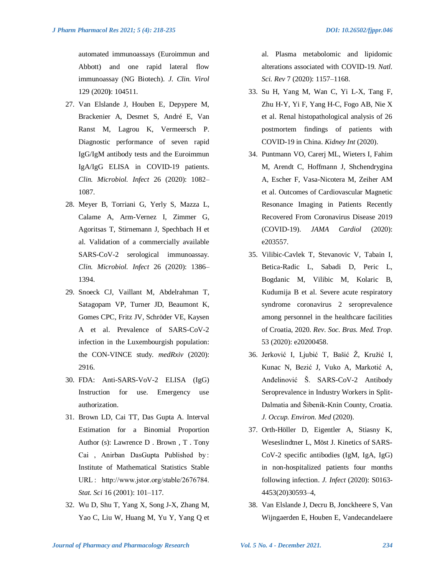automated immunoassays (Euroimmun and Abbott) and one rapid lateral flow immunoassay (NG Biotech). *J. Clin. Virol* 129 (2020**)**: 104511.

- 27. Van Elslande J, Houben E, Depypere M, Brackenier A, Desmet S, André E, Van Ranst M, Lagrou K, Vermeersch P. Diagnostic performance of seven rapid IgG/IgM antibody tests and the Euroimmun IgA/IgG ELISA in COVID-19 patients. *Clin. Microbiol. Infect* 26 (2020): 1082– 1087.
- 28. Meyer B, Torriani G, Yerly S, Mazza L, Calame A, Arm-Vernez I, Zimmer G, Agoritsas T, Stirnemann J, Spechbach H et al. Validation of a commercially available SARS-CoV-2 serological immunoassay. *Clin. Microbiol. Infect* 26 (2020): 1386– 1394.
- 29. Snoeck CJ, Vaillant M, Abdelrahman T, Satagopam VP, Turner JD, Beaumont K, Gomes CPC, Fritz JV, Schröder VE, Kaysen A et al. Prevalence of SARS-CoV-2 infection in the Luxembourgish population: the CON-VINCE study. *medRxiv* (2020): 2916.
- 30. FDA: Anti-SARS-VoV-2 ELISA (IgG) Instruction for use. Emergency use authorization.
- 31. Brown LD, Cai TT, Das Gupta A. Interval Estimation for a Binomial Proportion Author (s): Lawrence D . Brown , T . Tony Cai , Anirban DasGupta Published by: Institute of Mathematical Statistics Stable URL : http://www.jstor.org/stable/2676784. *Stat. Sci* 16 (2001): 101–117.
- 32. Wu D, Shu T, Yang X, Song J-X, Zhang M, Yao C, Liu W, Huang M, Yu Y, Yang Q et

al. Plasma metabolomic and lipidomic alterations associated with COVID-19. *Natl. Sci. Rev* 7 (2020): 1157–1168.

- 33. Su H, Yang M, Wan C, Yi L-X, Tang F, Zhu H-Y, Yi F, Yang H-C, Fogo AB, Nie X et al. Renal histopathological analysis of 26 postmortem findings of patients with COVID-19 in China. *Kidney Int* (2020).
- 34. Puntmann VO, Carerj ML, Wieters I, Fahim M, Arendt C, Hoffmann J, Shchendrygina A, Escher F, Vasa-Nicotera M, Zeiher AM et al. Outcomes of Cardiovascular Magnetic Resonance Imaging in Patients Recently Recovered From Coronavirus Disease 2019 (COVID-19). *JAMA Cardiol* (2020): e203557.
- 35. Vilibic-Cavlek T, Stevanovic V, Tabain I, Betica-Radic L, Sabadi D, Peric L, Bogdanic M, Vilibic M, Kolaric B, Kudumija B et al. Severe acute respiratory syndrome coronavirus 2 seroprevalence among personnel in the healthcare facilities of Croatia, 2020. *Rev. Soc. Bras. Med. Trop.* 53 (2020): e20200458.
- 36. Jerković I, Ljubić T, Bašić Ž, Kružić I, Kunac N, Bezić J, Vuko A, Markotić A, Anđelinović Š. SARS-CoV-2 Antibody Seroprevalence in Industry Workers in Split-Dalmatia and Šibenik-Knin County, Croatia. *J. Occup. Environ. Med* (2020).
- 37. Orth-Höller D, Eigentler A, Stiasny K, Weseslindtner L, Möst J. Kinetics of SARS-CoV-2 specific antibodies (IgM, IgA, IgG) in non-hospitalized patients four months following infection. *J. Infect* (2020): S0163- 4453(20)30593–4,
- 38. Van Elslande J, Decru B, Jonckheere S, Van Wijngaerden E, Houben E, Vandecandelaere